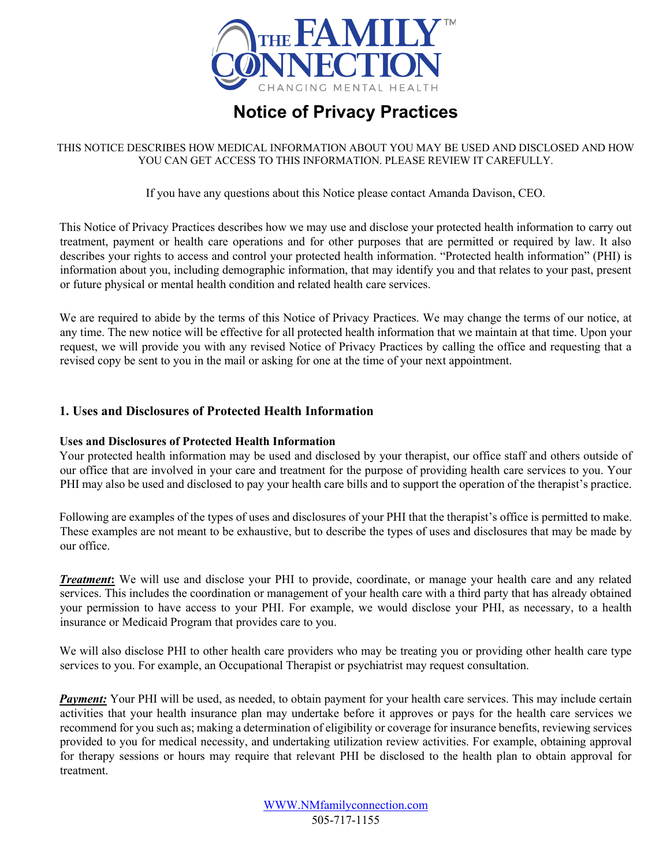

# **Notice of Privacy Practices**

THIS NOTICE DESCRIBES HOW MEDICAL INFORMATION ABOUT YOU MAY BE USED AND DISCLOSED AND HOW YOU CAN GET ACCESS TO THIS INFORMATION. PLEASE REVIEW IT CAREFULLY.

If you have any questions about this Notice please contact Amanda Davison, CEO.

This Notice of Privacy Practices describes how we may use and disclose your protected health information to carry out treatment, payment or health care operations and for other purposes that are permitted or required by law. It also describes your rights to access and control your protected health information. "Protected health information" (PHI) is information about you, including demographic information, that may identify you and that relates to your past, present or future physical or mental health condition and related health care services.

We are required to abide by the terms of this Notice of Privacy Practices. We may change the terms of our notice, at any time. The new notice will be effective for all protected health information that we maintain at that time. Upon your request, we will provide you with any revised Notice of Privacy Practices by calling the office and requesting that a revised copy be sent to you in the mail or asking for one at the time of your next appointment.

# **1. Uses and Disclosures of Protected Health Information**

#### **Uses and Disclosures of Protected Health Information**

Your protected health information may be used and disclosed by your therapist, our office staff and others outside of our office that are involved in your care and treatment for the purpose of providing health care services to you. Your PHI may also be used and disclosed to pay your health care bills and to support the operation of the therapist's practice.

Following are examples of the types of uses and disclosures of your PHI that the therapist's office is permitted to make. These examples are not meant to be exhaustive, but to describe the types of uses and disclosures that may be made by our office.

*Treatment***:** We will use and disclose your PHI to provide, coordinate, or manage your health care and any related services. This includes the coordination or management of your health care with a third party that has already obtained your permission to have access to your PHI. For example, we would disclose your PHI, as necessary, to a health insurance or Medicaid Program that provides care to you.

We will also disclose PHI to other health care providers who may be treating you or providing other health care type services to you. For example, an Occupational Therapist or psychiatrist may request consultation.

*Payment:* Your PHI will be used, as needed, to obtain payment for your health care services. This may include certain activities that your health insurance plan may undertake before it approves or pays for the health care services we recommend for you such as; making a determination of eligibility or coverage for insurance benefits, reviewing services provided to you for medical necessity, and undertaking utilization review activities. For example, obtaining approval for therapy sessions or hours may require that relevant PHI be disclosed to the health plan to obtain approval for treatment.

> WWW.NMfamilyconnection.com 505-717-1155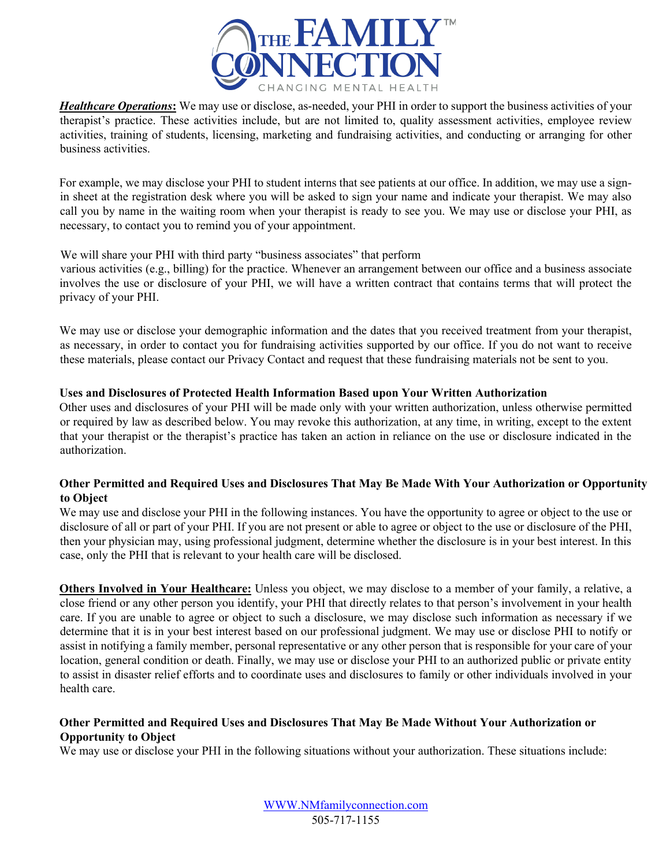

*Healthcare Operations***:** We may use or disclose, as-needed, your PHI in order to support the business activities of your therapist's practice. These activities include, but are not limited to, quality assessment activities, employee review activities, training of students, licensing, marketing and fundraising activities, and conducting or arranging for other business activities.

For example, we may disclose your PHI to student interns that see patients at our office. In addition, we may use a signin sheet at the registration desk where you will be asked to sign your name and indicate your therapist. We may also call you by name in the waiting room when your therapist is ready to see you. We may use or disclose your PHI, as necessary, to contact you to remind you of your appointment.

#### We will share your PHI with third party "business associates" that perform

various activities (e.g., billing) for the practice. Whenever an arrangement between our office and a business associate involves the use or disclosure of your PHI, we will have a written contract that contains terms that will protect the privacy of your PHI.

We may use or disclose your demographic information and the dates that you received treatment from your therapist, as necessary, in order to contact you for fundraising activities supported by our office. If you do not want to receive these materials, please contact our Privacy Contact and request that these fundraising materials not be sent to you.

#### **Uses and Disclosures of Protected Health Information Based upon Your Written Authorization**

Other uses and disclosures of your PHI will be made only with your written authorization, unless otherwise permitted or required by law as described below. You may revoke this authorization, at any time, in writing, except to the extent that your therapist or the therapist's practice has taken an action in reliance on the use or disclosure indicated in the authorization.

#### **Other Permitted and Required Uses and Disclosures That May Be Made With Your Authorization or Opportunity to Object**

We may use and disclose your PHI in the following instances. You have the opportunity to agree or object to the use or disclosure of all or part of your PHI. If you are not present or able to agree or object to the use or disclosure of the PHI, then your physician may, using professional judgment, determine whether the disclosure is in your best interest. In this case, only the PHI that is relevant to your health care will be disclosed.

**Others Involved in Your Healthcare:** Unless you object, we may disclose to a member of your family, a relative, a close friend or any other person you identify, your PHI that directly relates to that person's involvement in your health care. If you are unable to agree or object to such a disclosure, we may disclose such information as necessary if we determine that it is in your best interest based on our professional judgment. We may use or disclose PHI to notify or assist in notifying a family member, personal representative or any other person that is responsible for your care of your location, general condition or death. Finally, we may use or disclose your PHI to an authorized public or private entity to assist in disaster relief efforts and to coordinate uses and disclosures to family or other individuals involved in your health care.

#### **Other Permitted and Required Uses and Disclosures That May Be Made Without Your Authorization or Opportunity to Object**

We may use or disclose your PHI in the following situations without your authorization. These situations include:

WWW.NMfamilyconnection.com 505-717-1155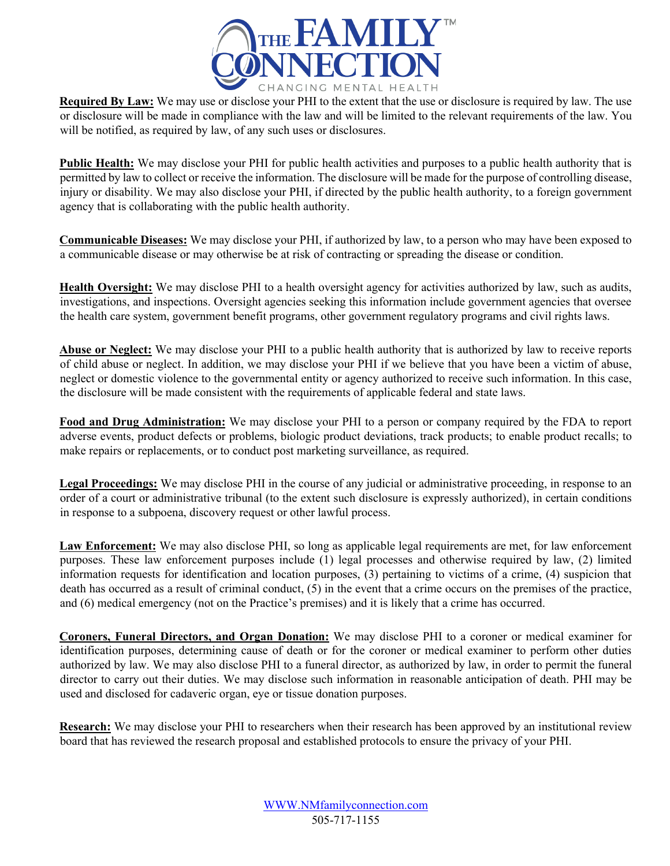

**Required By Law:** We may use or disclose your PHI to the extent that the use or disclosure is required by law. The use or disclosure will be made in compliance with the law and will be limited to the relevant requirements of the law. You will be notified, as required by law, of any such uses or disclosures.

**Public Health:** We may disclose your PHI for public health activities and purposes to a public health authority that is permitted by law to collect or receive the information. The disclosure will be made for the purpose of controlling disease, injury or disability. We may also disclose your PHI, if directed by the public health authority, to a foreign government agency that is collaborating with the public health authority.

**Communicable Diseases:** We may disclose your PHI, if authorized by law, to a person who may have been exposed to a communicable disease or may otherwise be at risk of contracting or spreading the disease or condition.

**Health Oversight:** We may disclose PHI to a health oversight agency for activities authorized by law, such as audits, investigations, and inspections. Oversight agencies seeking this information include government agencies that oversee the health care system, government benefit programs, other government regulatory programs and civil rights laws.

**Abuse or Neglect:** We may disclose your PHI to a public health authority that is authorized by law to receive reports of child abuse or neglect. In addition, we may disclose your PHI if we believe that you have been a victim of abuse, neglect or domestic violence to the governmental entity or agency authorized to receive such information. In this case, the disclosure will be made consistent with the requirements of applicable federal and state laws.

**Food and Drug Administration:** We may disclose your PHI to a person or company required by the FDA to report adverse events, product defects or problems, biologic product deviations, track products; to enable product recalls; to make repairs or replacements, or to conduct post marketing surveillance, as required.

Legal Proceedings: We may disclose PHI in the course of any judicial or administrative proceeding, in response to an order of a court or administrative tribunal (to the extent such disclosure is expressly authorized), in certain conditions in response to a subpoena, discovery request or other lawful process.

Law Enforcement: We may also disclose PHI, so long as applicable legal requirements are met, for law enforcement purposes. These law enforcement purposes include (1) legal processes and otherwise required by law, (2) limited information requests for identification and location purposes, (3) pertaining to victims of a crime, (4) suspicion that death has occurred as a result of criminal conduct, (5) in the event that a crime occurs on the premises of the practice, and (6) medical emergency (not on the Practice's premises) and it is likely that a crime has occurred.

**Coroners, Funeral Directors, and Organ Donation:** We may disclose PHI to a coroner or medical examiner for identification purposes, determining cause of death or for the coroner or medical examiner to perform other duties authorized by law. We may also disclose PHI to a funeral director, as authorized by law, in order to permit the funeral director to carry out their duties. We may disclose such information in reasonable anticipation of death. PHI may be used and disclosed for cadaveric organ, eye or tissue donation purposes.

**Research:** We may disclose your PHI to researchers when their research has been approved by an institutional review board that has reviewed the research proposal and established protocols to ensure the privacy of your PHI.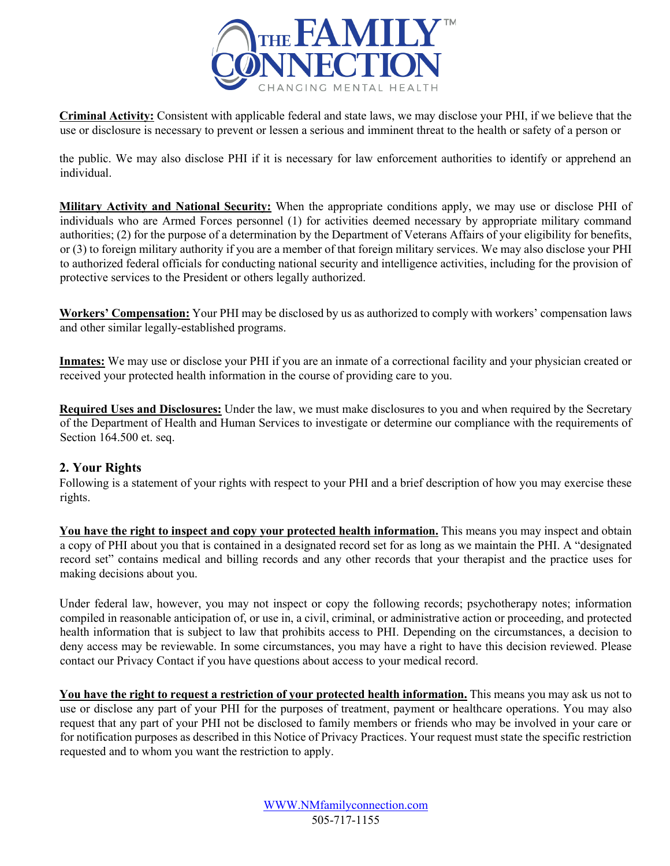

**Criminal Activity:** Consistent with applicable federal and state laws, we may disclose your PHI, if we believe that the use or disclosure is necessary to prevent or lessen a serious and imminent threat to the health or safety of a person or

the public. We may also disclose PHI if it is necessary for law enforcement authorities to identify or apprehend an individual.

**Military Activity and National Security:** When the appropriate conditions apply, we may use or disclose PHI of individuals who are Armed Forces personnel (1) for activities deemed necessary by appropriate military command authorities; (2) for the purpose of a determination by the Department of Veterans Affairs of your eligibility for benefits, or (3) to foreign military authority if you are a member of that foreign military services. We may also disclose your PHI to authorized federal officials for conducting national security and intelligence activities, including for the provision of protective services to the President or others legally authorized.

**Workers' Compensation:** Your PHI may be disclosed by us as authorized to comply with workers' compensation laws and other similar legally-established programs.

**Inmates:** We may use or disclose your PHI if you are an inmate of a correctional facility and your physician created or received your protected health information in the course of providing care to you.

**Required Uses and Disclosures:** Under the law, we must make disclosures to you and when required by the Secretary of the Department of Health and Human Services to investigate or determine our compliance with the requirements of Section 164.500 et. seq.

## **2. Your Rights**

Following is a statement of your rights with respect to your PHI and a brief description of how you may exercise these rights.

**You have the right to inspect and copy your protected health information.** This means you may inspect and obtain a copy of PHI about you that is contained in a designated record set for as long as we maintain the PHI. A "designated record set" contains medical and billing records and any other records that your therapist and the practice uses for making decisions about you.

Under federal law, however, you may not inspect or copy the following records; psychotherapy notes; information compiled in reasonable anticipation of, or use in, a civil, criminal, or administrative action or proceeding, and protected health information that is subject to law that prohibits access to PHI. Depending on the circumstances, a decision to deny access may be reviewable. In some circumstances, you may have a right to have this decision reviewed. Please contact our Privacy Contact if you have questions about access to your medical record.

**You have the right to request a restriction of your protected health information.** This means you may ask us not to use or disclose any part of your PHI for the purposes of treatment, payment or healthcare operations. You may also request that any part of your PHI not be disclosed to family members or friends who may be involved in your care or for notification purposes as described in this Notice of Privacy Practices. Your request must state the specific restriction requested and to whom you want the restriction to apply.

> WWW.NMfamilyconnection.com 505-717-1155